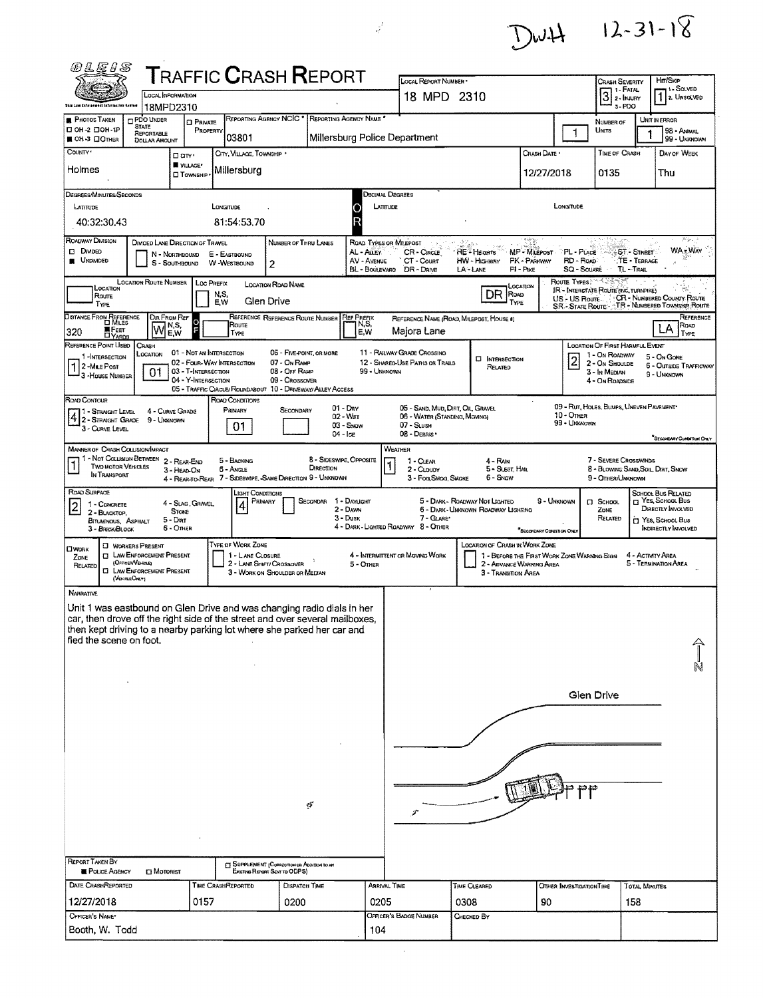

| <i>®LEIS</i>                                                                                                                                                                                                                                                                    |                                                                                                                                         |                                                                          |                               |                                        |                                                                                     | ${\sf T}$ RAFFIC ${\sf C}$ RASH ${\sf R}$ EPORT                                                            |                                                          |                               |                                                                                                 |      |                                                                                                                                         |                                                       |                                                                                                       |                                                                      |                                         |                                                                                                                |
|---------------------------------------------------------------------------------------------------------------------------------------------------------------------------------------------------------------------------------------------------------------------------------|-----------------------------------------------------------------------------------------------------------------------------------------|--------------------------------------------------------------------------|-------------------------------|----------------------------------------|-------------------------------------------------------------------------------------|------------------------------------------------------------------------------------------------------------|----------------------------------------------------------|-------------------------------|-------------------------------------------------------------------------------------------------|------|-----------------------------------------------------------------------------------------------------------------------------------------|-------------------------------------------------------|-------------------------------------------------------------------------------------------------------|----------------------------------------------------------------------|-----------------------------------------|----------------------------------------------------------------------------------------------------------------|
|                                                                                                                                                                                                                                                                                 | LOCAL INFORMATION                                                                                                                       |                                                                          |                               |                                        |                                                                                     |                                                                                                            |                                                          |                               | LOCAL REPORT NUMBER -<br>18 MPD 2310                                                            |      |                                                                                                                                         |                                                       |                                                                                                       | Crash Severity<br>$3:$ FATAL                                         |                                         | Hr/Skip<br>11- SOLVED<br>$12$ . UNSOLVED                                                                       |
| this Law Cafernson intermation Genter                                                                                                                                                                                                                                           | 18MPD2310                                                                                                                               |                                                                          |                               |                                        |                                                                                     |                                                                                                            |                                                          |                               |                                                                                                 |      |                                                                                                                                         |                                                       |                                                                                                       | 3-PDO                                                                |                                         |                                                                                                                |
| <b>PHOTOS TAKEN</b><br>DOH-2 DOH-1P<br>■ OH-3 □OTHER                                                                                                                                                                                                                            | <b>PDO UNDER</b><br><b>STATE</b><br>REPORTABLE<br><b>DOLLAR AMOUNT</b>                                                                  | <b>EI PRIVATE</b>                                                        | PROPERTY                      | 03801                                  | REPORTING AGENCY NCIC                                                               | REPORTING AGENCY NAME                                                                                      |                                                          |                               | Millersburg Police Department                                                                   |      |                                                                                                                                         |                                                       | 1                                                                                                     | NUMBER OF<br>UNITS                                                   | 1                                       | UNIT IN ERROR<br>98 - Avenal<br>99 - UNKNOWN                                                                   |
| COUNTY <sup>*</sup>                                                                                                                                                                                                                                                             |                                                                                                                                         | Darv.                                                                    |                               | CITY, VILLAGE, TOWNSHIP '              |                                                                                     |                                                                                                            |                                                          |                               |                                                                                                 |      |                                                                                                                                         | Crash Date .                                          |                                                                                                       | TIME OF CRASH                                                        |                                         | DAY OF WEEK                                                                                                    |
| Holmes                                                                                                                                                                                                                                                                          |                                                                                                                                         | VILLAGE*<br><b>Township</b>                                              |                               | Millersburg                            |                                                                                     |                                                                                                            |                                                          |                               |                                                                                                 |      |                                                                                                                                         | 12/27/2018                                            |                                                                                                       | 0135                                                                 |                                         | Thu                                                                                                            |
| Degrees/Minutes/Seconds                                                                                                                                                                                                                                                         |                                                                                                                                         |                                                                          |                               |                                        |                                                                                     |                                                                                                            |                                                          |                               | Jecimal Degrees                                                                                 |      |                                                                                                                                         |                                                       |                                                                                                       |                                                                      |                                         |                                                                                                                |
| LATITUDE<br>40:32:30.43                                                                                                                                                                                                                                                         |                                                                                                                                         |                                                                          | LONGITUDE                     | 81:54:53.70                            |                                                                                     |                                                                                                            | U                                                        | LATITUDE                      |                                                                                                 |      |                                                                                                                                         |                                                       | LONGITUDE                                                                                             |                                                                      |                                         |                                                                                                                |
| ROADWAY DIVISION<br><b>CI DIMDED</b><br><b>UNDIVIDED</b>                                                                                                                                                                                                                        | DIVIDED LANE DIRECTION OF TRAVEL                                                                                                        | N - NORTHBOUND<br>S - SOUTHBOUND                                         | E - EASTBOUND<br>W -Westbound |                                        | 2                                                                                   | NUMBER OF THRU LANES                                                                                       | AL - ALLEY                                               | AV - AVENUE<br>BL - BOULEVARD | ROAD TYPES OR MILEPOST<br>CR - CIRCLE<br>CT - Count<br>DR - Daive                               |      | HE - Hagens<br>HW - HIGHWAY<br>LA-LANE                                                                                                  | Ny<br>MP - MILEPOST<br>PK - PARKWAY<br>$PI - P_{IKE}$ | PL - PLACE<br>RD - Roap<br><b>SQ - SOUARE</b>                                                         |                                                                      | ST - STREET<br>TE - TERRAGE<br>TL-TRAIL | <b>WA-WAY</b>                                                                                                  |
| LOCATION<br>Roune<br>TYPE                                                                                                                                                                                                                                                       | <b>LOCATION ROUTE NUMBER</b>                                                                                                            |                                                                          | LOC PREFIX<br>N,S,<br>E.W     |                                        | LOCATION ROAD NAME<br>Glen Drive                                                    |                                                                                                            |                                                          |                               |                                                                                                 |      | DR ROAD<br>TYPE                                                                                                                         | Location                                              | <b>ROUTE TYPES</b><br>IR - INTERSTATE ROUTE (INC. TURNPIKE)<br>US - US Route<br><b>SR-STATE ROUTE</b> |                                                                      |                                         | CR - NUMBERED COUNTY ROUTE<br>TR - NUMBERED TOWNSHIP ROUTE                                                     |
| DISTANCE FROM REFERENCE<br><b>E</b> Feet<br>320                                                                                                                                                                                                                                 | Dir From Ref<br>l۷                                                                                                                      | N,S,<br>F<br>E,W                                                         |                               | Route<br>TYPE                          |                                                                                     | REFERENCE REFERENCE ROUTE NUMBER                                                                           | <b>REF PREFIX</b><br>N,S,<br>E,W                         |                               | REFERENCE NAME (ROAD, MILEPOST, HOUSE 4)<br>Majora Lane                                         |      |                                                                                                                                         |                                                       |                                                                                                       |                                                                      |                                         | REFERENCE<br>Roap<br>LA<br>TYPE                                                                                |
| <b>DYARDS</b><br>REFERENCE POINT USED                                                                                                                                                                                                                                           | CRASH                                                                                                                                   | 01 - NOT AN INTERSECTION                                                 |                               |                                        |                                                                                     | 06 - FIVE-POINT, OR MORE                                                                                   |                                                          |                               | 11 - RAILWAY GRADE CROSSING                                                                     |      |                                                                                                                                         |                                                       |                                                                                                       | LOCATION OF FIRST HARMFUL EVENT                                      |                                         |                                                                                                                |
| 1-INTERSECTION<br>2-Mile Post<br>3 - HOUSE NUMBER                                                                                                                                                                                                                               | LOCATION<br>01                                                                                                                          | 02 - FOUR-WAY INTERSECTION<br>03 - T-INTERSECTION<br>04 - Y-INTERSECTION |                               |                                        | 07 - On RAMP<br>08 - OFF RAMP<br>09 - Crossover                                     | 05 - TRAFFIC CIRCLE/ ROUNDABOUT 10 - DRIVEWAY/ ALLEY ACCESS                                                |                                                          | 99 - UNKNOWN                  | 12 - SHARED-USE PATHS OR TRAILS                                                                 |      | <b>CI INTERSECTION</b><br>RELATED                                                                                                       |                                                       | $\overline{2}$                                                                                        | 1 - On ROADWAY<br>2 - ON SHOULDE<br>3 - In MEDIAN<br>4 - ON ROADSIDE |                                         | 5 - On Gone<br><b>6 - OUTSIDE TRAFFICWAY</b><br>9 - UNKNOWN                                                    |
| ROAD CONTOUR<br>1 - STRAIGHT LEVEL<br>$4 2 -$ Straight Grade<br>3 - CURVE LEVEL                                                                                                                                                                                                 | 9 - Unganown                                                                                                                            | 4 - CURVE GRADE                                                          |                               | ROAD CONDITIONS<br>PRIMARY<br>01       | SECONDARY                                                                           |                                                                                                            | $01 - \text{Day}$<br>02 - Wer<br>$03 -$ SNow<br>04 - Ice |                               | 05 - SAND, MUD, DIRT, OIL, GRAVEL<br>06 - WATER (STANDING, MGVING)<br>07 - SLUSH<br>08 - DEBRIS |      |                                                                                                                                         |                                                       | 09 - Rut, HOLES, BUMPS, UNEVEN PAVEMENT*<br>10 - OTHER<br>99 - UNKNOWN                                |                                                                      |                                         | SECONDARY CONDITION ONLY                                                                                       |
| <b>MANNER OF CRASH COLLISION/IMPACT</b><br>1 - Not Collision Between<br>Two MOTOR VEHICLES<br>In Transport                                                                                                                                                                      |                                                                                                                                         | 2 - REAR-END<br>3 - HEAD-ON                                              |                               | 5 - BACKING<br>6 - Angle               |                                                                                     | <b>8 - SIDESWIPE, OPPOSITE</b><br>DIRECTION<br>4 - REAR-TO-REAR 7 - SIDESWIPE, -SAME DIRECTION 9 - UNKNOWN |                                                          |                               | WEATHER<br>$1 - C$ LEAR<br>2 - CLOUDY<br>3 - Fog, SMog, SMOKE                                   |      | 4 - RAN<br>5 - Sleet, Hall<br>6 - Snow                                                                                                  |                                                       |                                                                                                       | 7 - SEVERE CROSSWINDS<br>9 - OTHER/UNKNOWN                           |                                         | 8 - BLOWING SAND, SOIL, DIRT, SNOW                                                                             |
| ROAD SURFACE<br>1 - CONCRETE<br>$\overline{2}$<br>2 - BLACKTOP.<br>BITUMINOUS, ASPHALT<br>3 - BRICK BLOCK                                                                                                                                                                       |                                                                                                                                         | 4 - SLAG, GRAVEL,<br>STONE<br>$5 -$ Diar<br>6 - Omer                     |                               | <b>IGHT CONDITIONS</b><br>PRIMARY<br>4 |                                                                                     | <b>SECONDAR</b>                                                                                            | 1 - DAYUGHT<br>2 - DAWN<br>$3 - D$ USK                   |                               | 7 - GLARE*<br>4 - DARK - LIGHTED ROADWAY 8 - OTHER                                              |      | 5 - DARK - ROADWAY NOT LIGHTED<br>6 - DARK - UNKNOWN ROADWAY LIGHTING                                                                   | "Secondary Contation Only                             | 9 - UNKNOWN                                                                                           | <b>CI</b> SCHOOL<br>ZONE<br>RELATED                                  |                                         | SCHOOL BUS RELATED<br>T YES, SCHOOL BUS<br>DIRECTLY INVOLVED<br><b>MYES, SCHOOL BUS</b><br>INDIRECTLY INVOLVED |
| <b>CIWORK</b><br>ZONE<br>RELATED                                                                                                                                                                                                                                                | <b>CI WORKERS PRESENT</b><br><b>CI LAW ENFORCEMENT PRESENT</b><br>(OFFICENVENICLE)<br><b>CI LAW ENFORCEMENT PRESENT</b><br>(VencisOnty) |                                                                          |                               | TYPE OF WORK ZONE<br>1 - LANE CLOSURE  | 2 - LANE SHIFT/ CROSSOVER<br>3 - WORK ON SHOULDER OR MEDIAN                         |                                                                                                            | 5 - OTHER                                                |                               | 4 - INTERMITTENT OR MOVING WORK                                                                 |      | <b>LOCATION OF CRASH IN WORK ZONE</b><br>1 - BEFORE THE FIRST WORK ZONE WARNING SIGN<br>2 - ADVANCE WARMING AREA<br>3 - TRANSITION AREA |                                                       |                                                                                                       |                                                                      | 4 - Activity Area                       | 5 - TERMINATION AREA                                                                                           |
| <b>NARRATIVE</b><br>Unit 1 was eastbound on Glen Drive and was changing radio dials in her<br>car, then drove off the right side of the street and over several mailboxes.<br>then kept driving to a nearby parking lot where she parked her car and<br>fled the scene on foot. |                                                                                                                                         |                                                                          |                               |                                        |                                                                                     |                                                                                                            |                                                          |                               |                                                                                                 |      |                                                                                                                                         |                                                       |                                                                                                       |                                                                      |                                         |                                                                                                                |
|                                                                                                                                                                                                                                                                                 |                                                                                                                                         |                                                                          |                               |                                        |                                                                                     |                                                                                                            |                                                          |                               |                                                                                                 |      |                                                                                                                                         |                                                       |                                                                                                       | Glen Drive                                                           |                                         |                                                                                                                |
|                                                                                                                                                                                                                                                                                 |                                                                                                                                         |                                                                          |                               |                                        |                                                                                     |                                                                                                            |                                                          |                               |                                                                                                 |      |                                                                                                                                         |                                                       |                                                                                                       |                                                                      |                                         |                                                                                                                |
|                                                                                                                                                                                                                                                                                 |                                                                                                                                         |                                                                          |                               |                                        |                                                                                     |                                                                                                            |                                                          |                               |                                                                                                 |      |                                                                                                                                         |                                                       |                                                                                                       |                                                                      |                                         |                                                                                                                |
|                                                                                                                                                                                                                                                                                 |                                                                                                                                         |                                                                          |                               |                                        |                                                                                     | ŢГ                                                                                                         |                                                          |                               |                                                                                                 |      |                                                                                                                                         |                                                       |                                                                                                       |                                                                      |                                         |                                                                                                                |
|                                                                                                                                                                                                                                                                                 |                                                                                                                                         |                                                                          |                               |                                        |                                                                                     |                                                                                                            |                                                          |                               | s                                                                                               |      |                                                                                                                                         |                                                       |                                                                                                       |                                                                      |                                         |                                                                                                                |
| <b>REPORT TAKEN BY</b><br>POLICE AGENCY                                                                                                                                                                                                                                         | <b>D</b> MOTORIST                                                                                                                       |                                                                          |                               |                                        | <b>ET SUPPLEMENT (CORRECTION OR ADDITION TO AN</b><br>Existing Resent Sent to ODPS) |                                                                                                            |                                                          |                               |                                                                                                 |      |                                                                                                                                         |                                                       |                                                                                                       |                                                                      |                                         |                                                                                                                |
| DATE CRASHREPORTED                                                                                                                                                                                                                                                              |                                                                                                                                         |                                                                          | TIME CRASHREPORTED            |                                        |                                                                                     | DISPATCH TIME                                                                                              |                                                          | ARRIVAL TIME                  |                                                                                                 |      | TIME CLEARED                                                                                                                            |                                                       | OTHER INVESTIGATION TIME                                                                              |                                                                      | TOTAL MINUTES                           |                                                                                                                |
| 12/27/2018<br>OFFICER'S NAME*                                                                                                                                                                                                                                                   |                                                                                                                                         | 0157                                                                     |                               |                                        | 0200                                                                                |                                                                                                            |                                                          | 0205                          | OFFICER'S BADGE NUMBER                                                                          | 0308 |                                                                                                                                         | 90                                                    |                                                                                                       |                                                                      | 158                                     |                                                                                                                |
| Booth, W. Todd                                                                                                                                                                                                                                                                  |                                                                                                                                         |                                                                          |                               |                                        |                                                                                     |                                                                                                            |                                                          | 104                           |                                                                                                 |      | CHECKED BY                                                                                                                              |                                                       |                                                                                                       |                                                                      |                                         |                                                                                                                |

 $\frac{\partial}{\partial t}$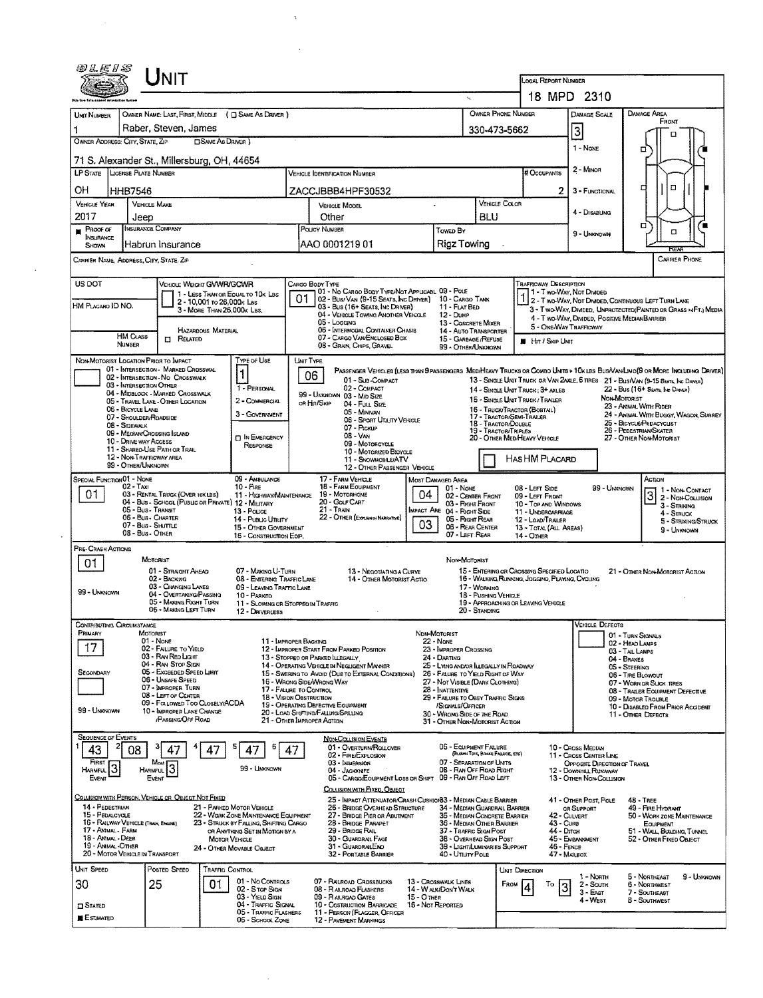| <i>®LE15</i>                             | <b>NIT</b>                                                                |                                                                  |                                                          |                                                                                          |                                  |                                                                       | LOCAL REPORT NUMBER                                                                             |                                                        |                                                                                                                                                                                                                    |
|------------------------------------------|---------------------------------------------------------------------------|------------------------------------------------------------------|----------------------------------------------------------|------------------------------------------------------------------------------------------|----------------------------------|-----------------------------------------------------------------------|-------------------------------------------------------------------------------------------------|--------------------------------------------------------|--------------------------------------------------------------------------------------------------------------------------------------------------------------------------------------------------------------------|
|                                          |                                                                           |                                                                  |                                                          |                                                                                          |                                  |                                                                       |                                                                                                 | 18 MPD 2310                                            |                                                                                                                                                                                                                    |
| UNIT NUMBER                              | OWNER NAME: LAST, FIRST, MIDDLE ( C SAME AS DRIVER )                      |                                                                  |                                                          |                                                                                          |                                  |                                                                       | <b>OWNER PHONE NUMBER</b>                                                                       | <b>DAMAGE SCALE</b>                                    | DAMAGE AREA                                                                                                                                                                                                        |
| 1                                        | Raber, Steven, James                                                      |                                                                  |                                                          |                                                                                          |                                  |                                                                       | 330-473-5662                                                                                    |                                                        | FROM                                                                                                                                                                                                               |
| OWNER ADDRESS: CITY, STATE, ZIP          |                                                                           | <b>CISAME AS DRIVER</b> )                                        |                                                          |                                                                                          |                                  |                                                                       |                                                                                                 | $\overline{\mathbf{3}}$                                | п                                                                                                                                                                                                                  |
|                                          |                                                                           |                                                                  |                                                          |                                                                                          |                                  |                                                                       |                                                                                                 | 1 - NONE                                               | □                                                                                                                                                                                                                  |
|                                          | 71 S. Alexander St., Millersburg, OH, 44654                               |                                                                  |                                                          |                                                                                          |                                  |                                                                       |                                                                                                 | 2 - MINOR                                              |                                                                                                                                                                                                                    |
|                                          | LP STATE LIGENSE PLATE NUMBER                                             |                                                                  |                                                          | <b>VEHICLE DENTIFICATION NUMBER</b>                                                      |                                  |                                                                       | <b># Occupants</b>                                                                              |                                                        |                                                                                                                                                                                                                    |
| ОН                                       | HHB7546                                                                   |                                                                  |                                                          | ZACCJBBB4HPF30532                                                                        |                                  |                                                                       | 2                                                                                               | 3 - FUNCTIONAL                                         | $\Box$<br>o                                                                                                                                                                                                        |
| <b>VEHICLE YEAR</b>                      | VEHICLE MAKE                                                              |                                                                  |                                                          | <b>VEHICLE MODEL</b>                                                                     | $\ddot{\phantom{0}}$             |                                                                       | VEHICLE COLOR                                                                                   |                                                        |                                                                                                                                                                                                                    |
| 2017                                     | Jeep                                                                      |                                                                  |                                                          | Other                                                                                    |                                  | <b>BLU</b>                                                            |                                                                                                 | 4 - DISABLING                                          |                                                                                                                                                                                                                    |
| $P$ Roof or<br><b>INSURANCE</b>          | INSURANCE COMPANY                                                         |                                                                  |                                                          | POLICY NUMBER                                                                            |                                  | Towed By                                                              |                                                                                                 | $9 - L$ MKNOWN                                         | о<br>$\Box$                                                                                                                                                                                                        |
| SHOWN                                    | Habrun Insurance                                                          |                                                                  |                                                          | AAO 0001219 01                                                                           |                                  | Rigz Towing                                                           |                                                                                                 |                                                        |                                                                                                                                                                                                                    |
|                                          | CARRIER NAME, ADDRESS, CITY, STATE, ZIP                                   |                                                                  |                                                          |                                                                                          |                                  |                                                                       |                                                                                                 |                                                        | CARRIER PHONE                                                                                                                                                                                                      |
| US DOT                                   |                                                                           | VEHICLE WEIGHT GVWR/GCWR                                         |                                                          | CARGO BODY TYPE                                                                          |                                  |                                                                       | <b>TRAFFICWAY DESCRIPTION</b>                                                                   |                                                        |                                                                                                                                                                                                                    |
|                                          |                                                                           | 1 - LESS THAN OR EQUAL TO 10K LBS                                | 01                                                       | 01 - No CARGO BODY TYPE/NOT APPLICABL 09 - POLE<br>02 - Bus/Van (9-15 Seats, Inc Driver) |                                  | 10 - CARGO TANK                                                       |                                                                                                 | 1 - Two Way, Not Divided                               | 1 2 - T WO-WAY, NOT DIVIDED, CONTINUOUS LEFT TURN LANE                                                                                                                                                             |
| HM PLACARO ID NO.                        |                                                                           | 2 - 10,001 to 26,000k Las<br>3 - MORE THAN 26,000x LBS.          |                                                          | 03 - Bus (16+ Seats, Inc Driver)                                                         |                                  | 11 - FLAT BED                                                         |                                                                                                 |                                                        | 3 - T WO-WAY, DIVIDED, UNPROTECTED (PAINTED OR GRASS >4FT.) MEDIA                                                                                                                                                  |
|                                          |                                                                           |                                                                  |                                                          | 04 - VERICLE TOWING ANOTHER VEHICLE<br>05 - Logging                                      |                                  | $12 -$ Duse<br>13 - CONCRETE MIXER                                    |                                                                                                 | 4 - T WO-WAY, DIMDED, POSITIVE MEDIAN BARRIER          |                                                                                                                                                                                                                    |
|                                          | HM CLASS<br><b>CI RELATED</b>                                             | HAZARDOUS MATERIAL                                               |                                                          | 06 - INTERMODAL CONTAINER CHASIS<br>07 - CARGO VAN/ENCLOSED BOX                          |                                  | 14 - AUTO TRANSPORTER<br>15 - GARBAGE/REFUSE                          |                                                                                                 | 5 - ONE-WAY TRAFFICWAY                                 |                                                                                                                                                                                                                    |
|                                          | NUMBER                                                                    |                                                                  |                                                          | 08 - GRAIN, CHIPS, GRAVEL                                                                |                                  | 99 - OTHER/UNKNOWN                                                    | $\blacksquare$ Hr / Skip Unit                                                                   |                                                        |                                                                                                                                                                                                                    |
|                                          | NON-MOTORIST LOCATION PRIOR TO IMPACT                                     | TYPE OF USE                                                      |                                                          | <b>UNT TYPE</b>                                                                          |                                  |                                                                       |                                                                                                 |                                                        |                                                                                                                                                                                                                    |
|                                          | 01 - INTERSECTION - MARKED CROSSWAL<br>02 - INTERSECTION - NO CROSSWALK   | 1                                                                |                                                          | 06<br>01 - Sub-COMPACT                                                                   |                                  |                                                                       |                                                                                                 |                                                        | PASSENGER VEHICLES (LESS THAN 9 PASSENGERS MEDIHEAVY TRUCKS OR COMBO UNITS > 10K LBS BUS/VAN/LIMO(9 OR MORE INCLUDING DRIVER)<br>13 - SINGLE UNIT TRUCK OR VAN ZAXLE, 6 TIRES 21 - BUS/VAN (9-15 SEATS, INC DANER) |
|                                          | 03 - INTERSECTION OTHER<br>04 - MIDBLOCK - MARKED CROSSWALK               |                                                                  | 1 - PERSONAL                                             | 02 - COMPACT                                                                             |                                  |                                                                       | 14 - SINGLE UNIT TRUCK; 3+ AXLES                                                                |                                                        | 22 - Bus (16+ Seats, Inc Damer)                                                                                                                                                                                    |
|                                          | 05 - TRAVEL LANE - OTHER LOCATION                                         |                                                                  | 2 - COMMERCIAL                                           | 99 - UNKNOWN 03 - MID SIZE<br>or Hitt/Skip<br>04 - Futt, Size                            |                                  |                                                                       | 15 - SINGLE LINT TRUCK / TRALER                                                                 |                                                        | NON-MOTORIST<br>23 - ANIMAL WITH RIDER                                                                                                                                                                             |
|                                          | 06 - BICYCLE LANE<br>07 - SHOULDER/ROADSIDE                               |                                                                  | 3 - GOVERNMENT                                           | 05 - MINIVAN<br>06 - Sport Uttury Vericle                                                |                                  |                                                                       | 16 - TRUCK/TRACTOR (BOSTAL)<br>17 - TRACTOR/SEMI-TRAILER                                        |                                                        | 24 - ANIMAL WITH BUGGY, WAGON, SURREY                                                                                                                                                                              |
|                                          | 08 - Sidewalk<br>09 - MECHAN/CROSSING ISLAND                              |                                                                  |                                                          | 07 - Prokup                                                                              |                                  |                                                                       | 18 - Tractor/Double<br>19 - TRACTOR/TRIPLES                                                     |                                                        | 25 - BICYCLE/PEDACYCLIST<br>26 - PEDESTRIAN/SKATER                                                                                                                                                                 |
|                                          | 10 - DRIVE WAY ACCESS                                                     |                                                                  | <b>n</b> In ENERGENCY<br>RESPONSE                        | 08 - VAN<br>09 - MOTORCYCLE                                                              |                                  |                                                                       | 20 - OTHER MEDIHEAVY VEHICLE                                                                    |                                                        | 27 - OTHER NON-MOTORIST                                                                                                                                                                                            |
|                                          | 11 - SHAREO-USE PATH OR TRAIL<br>12 - NON-TRAFFICWAY AREA                 |                                                                  |                                                          | 10 - MOTORIZED BICYCLE<br>11 - SNOWMOBILE/ATV                                            |                                  |                                                                       | HASHM PLACARD                                                                                   |                                                        |                                                                                                                                                                                                                    |
|                                          | 99 - OTHER/UNKNOWN                                                        |                                                                  |                                                          | 12 - OTHER PASSENGER VEHICLE                                                             |                                  |                                                                       |                                                                                                 |                                                        |                                                                                                                                                                                                                    |
| SPECIAL FUNCTION 01 - NONE               | $02 - T_Ax$                                                               | $10 -$ Fine                                                      | 09 - AMBULANCE                                           | 17 - FARM VEHICLE<br>18 - FARM EQUIPMENT                                                 | MOST DAMAGED AREA                |                                                                       |                                                                                                 |                                                        | ACTION                                                                                                                                                                                                             |
| 01                                       | 03 - RENTAL TRUCK (OVER 10KLBS)                                           |                                                                  | 11 - HIGHWAY/MAINTENANCE                                 | 19 - MOTORHOME                                                                           | 04                               | 01 - NONE<br>02 - CENTER FRONT                                        | 08 - LEFT SIDE<br>09 - LEFT FRONT                                                               | 99 - UNKNOWN                                           | $31 - Non-Contract 2 - Non-Conject$                                                                                                                                                                                |
|                                          | 04 - Bus - School (Public or Private) 12 - MILITARY<br>05 - Bus - Transit | 13 - Pouce                                                       |                                                          | 20 - Gour CART<br>21 - TRAIN                                                             |                                  | 03 - RIGHT FRONT<br><b>IMPACT ARE 04 - RIGHT SIDE</b>                 | 10 - Top AND WINDOWS<br>11 - UNDERCARRIAGE                                                      |                                                        | 3 - STRIKING<br>4 - STRUCK                                                                                                                                                                                         |
|                                          | 06 - Bus - Charter<br>07 - Bus - SHUTTLE                                  |                                                                  | 14 - Pusuc Unury                                         | 22 - OTHER (EXPLANDI NARRATIVE)                                                          | 03                               | 05 - Fught Rear                                                       | 12 - LOAD/TRAILER                                                                               |                                                        | 5 - STRIKING/STRUCK                                                                                                                                                                                                |
|                                          | 08 - Bus - OTHER                                                          |                                                                  | 15 - OTHER GOVERNMENT<br>16 - CONSTRUCTION EOIP.         |                                                                                          |                                  | 06 - REAR CENTER<br>07 - LEFT REAR                                    | 13 - TOTAL (ALL AREAS)<br>14 - OTHER                                                            |                                                        | 9 - Unknown                                                                                                                                                                                                        |
| <b>PRE-CRASH ACTIONS</b>                 |                                                                           |                                                                  |                                                          |                                                                                          |                                  |                                                                       |                                                                                                 |                                                        |                                                                                                                                                                                                                    |
| 01                                       | MOTORIST                                                                  |                                                                  |                                                          |                                                                                          |                                  | NON-MOTORIST                                                          |                                                                                                 |                                                        |                                                                                                                                                                                                                    |
|                                          | 01 - STRAIGHT AHEAD<br>02 - BACKING                                       |                                                                  | 07 - MAKING U-TURN<br>08 - ENTERING TRAFFIC LANE         | 13 - Negotiating a Curve<br>14 - OTHER MOTORIST ACTIO                                    |                                  |                                                                       | 15 - ENTERING OR CROSSING SPECIFIED LOCATIO<br>16 - WALKING, RUNNING, JOGGING, PLAYING, CYCLING |                                                        | 21 - OTHER NON-MOTORIST ACTION                                                                                                                                                                                     |
| 99 - UNKNOWN                             | 03 - CHANGING LANES                                                       |                                                                  | 09 - LEAVING TRAFFIC LANE                                |                                                                                          |                                  | 17 - WORKING                                                          |                                                                                                 |                                                        |                                                                                                                                                                                                                    |
|                                          | 04 - OVERTAKING/PASSING<br>05 - MAKING RIGHT TURN                         |                                                                  | 10 - PARKED<br>11 - SLOWING OR STOPPED IN TRAFFIC        |                                                                                          |                                  |                                                                       | 18 - Pushing Vehicle<br>19 - APPROACHING OR LEAVING VEHICLE                                     |                                                        |                                                                                                                                                                                                                    |
|                                          | 06 - MAKING LEFT TURN                                                     |                                                                  | 12 - DRIVERLESS                                          |                                                                                          |                                  | 20 - Standing                                                         |                                                                                                 |                                                        |                                                                                                                                                                                                                    |
| <b>CONTRIBUTING CIRCUMSTANCE</b>         |                                                                           |                                                                  |                                                          |                                                                                          |                                  |                                                                       |                                                                                                 | <b>VEHICLE DEFECTS</b>                                 |                                                                                                                                                                                                                    |
| Primary                                  | MOTORIST<br>01 - None                                                     |                                                                  | 11 - IMPROPER BACKING                                    |                                                                                          | Non-Motorist<br><b>22 - NONE</b> |                                                                       |                                                                                                 |                                                        | 01 - Turn Signals<br>02 - HEAD LAMPS                                                                                                                                                                               |
| 17                                       | 02 - FALURE TO YIELD<br>03 - RAN RED LIGHT                                |                                                                  |                                                          | 12 - IMPROPER START FROM PARKED POSITION<br>13 - STOPPED OR PARKED LLEGALLY              | 24 - DARTING                     | 23 - IMPROPER CROSSING                                                |                                                                                                 |                                                        | 03 - TAIL LAMPS<br>04 - BRAKES                                                                                                                                                                                     |
|                                          | 04 - RAN STOP SIGN<br>05 - Exceeded Speed LIMIT                           |                                                                  |                                                          | 14 - OPERATING VEHICLE IN NEGLIGENT MANNER                                               |                                  | 25 - LYING AND/OR ILLEGALLY IN ROADWAY                                |                                                                                                 |                                                        | 05 - Steering                                                                                                                                                                                                      |
| SECONDARY                                | 06 - UNSAFE SPEED                                                         |                                                                  | 16 - WRONG SIDE/WRONG WAY                                | 15 - Swering to Avoid (Due to External Conditions)                                       |                                  | 26 - FALURE TO YIELD RIGHT OF WAY<br>27 - NOT VISIBLE (DARK CLOTHING) |                                                                                                 |                                                        | 06 - TIRE BLOWOUT<br>07 - WORN OR SLICK TIRES                                                                                                                                                                      |
|                                          | 07 - IMPROPER TURN<br>08 - LEFT OF CENTER                                 |                                                                  | 17 - FALURE TO CONTROL<br><b>18 - VISION OBSTRUCTION</b> |                                                                                          | 28 - INATTENTIVE                 |                                                                       |                                                                                                 |                                                        | 08 - TRAILER EQUIPMENT DEFECTIVE                                                                                                                                                                                   |
| 99 - UNKNOWN                             |                                                                           | 09 - Followed Too Closely/ACDA                                   |                                                          | 19 - OPERATING DEFECTIVE EQUIPMENT                                                       |                                  | 29 - FAILURE TO OBEY TRAFFIC SIGNS<br>/SIGNALS/OFFICER                |                                                                                                 |                                                        | 09 - MOTOR TROUBLE<br>10 - DISABLED FROM PRIOR ACCIDENT                                                                                                                                                            |
|                                          | 10 - IMPROPER LANE CHANGE<br><b><i>IPASSING OFF ROAD</i></b>              |                                                                  | 21 - OTHER IMPROPER ACTION                               | 20 - LOAD SHIFTING/FALLING/SPILLING                                                      |                                  | 30 - WRONG SIDE OF THE ROAD<br>31 - OTHER NON-MOTORIST ACTION         |                                                                                                 |                                                        | 11 - OTHER DEFECTS                                                                                                                                                                                                 |
| <b>SEQUENCE OF EVENTS</b>                |                                                                           |                                                                  |                                                          |                                                                                          |                                  |                                                                       |                                                                                                 |                                                        |                                                                                                                                                                                                                    |
| 43                                       | 47<br>08                                                                  | 47<br>47                                                         | 47                                                       | <b>NON-COLLISION EVENTS</b><br>01 - Overturn/ROLLOVER                                    |                                  | 06 - ECUIPMENT FAILURE                                                |                                                                                                 | 10 - CROSS MEDIAN                                      |                                                                                                                                                                                                                    |
| FIRST                                    | Most                                                                      |                                                                  |                                                          | 02 - FIRE/EXPLOSION<br>03 - IMMERSION                                                    |                                  | (BLOWN TIRE, BRAKE FAILURE, ETC)<br>07 - SEPARATION OF UNITS          |                                                                                                 | 11 - Cross CENTER LINE<br>OPPOSITE DIRECTION OF TRAVEL |                                                                                                                                                                                                                    |
| HARMFUL <sup>3</sup>                     | HARMFUL <sup>1</sup> 3                                                    |                                                                  | 99 - UMKNOWN                                             | 04 - Jacknife<br>05 - CARGO/EQUIPMENT LOSS OR SHIFT 09 - RAN OFF ROAD LEFT               |                                  | 08 - RAN OFF ROAD RIGHT                                               |                                                                                                 | 12 - DOWNHILL RUNAWAY                                  |                                                                                                                                                                                                                    |
| EVENT                                    | <b>EVENT</b>                                                              |                                                                  |                                                          | COLLISION WITH FIXED, OBJECT                                                             |                                  |                                                                       |                                                                                                 | 13 - OTHER NON-COLLISION                               |                                                                                                                                                                                                                    |
|                                          | COLLISION WITH PERSON, VEHICLE OR OBJECT NOT FIXED                        |                                                                  |                                                          | 25 - IMPACT ATTENUATOR/CRASH CUSHION33 - MEDIAN CABLE BARRIER                            |                                  |                                                                       |                                                                                                 | 41 - OTHER POST, POLE                                  | $48 -$ TREE                                                                                                                                                                                                        |
| 14 - PEDESTRIAN<br>15 - PEDALCYCLE       |                                                                           | 21 - PARKED MOTOR VEHICLE<br>22 - WORK ZONE MANTENANCE EQUIPMENT |                                                          | 26 - BRIDGE OVERHEAD STRUCTURE<br>27 - BRIDGE PIER OR ABUTMENT                           |                                  | 34 - MEDIAN GUARDRAIL BARRIER<br>35 - MEDIAN CONCRETE BARRIER         |                                                                                                 | <b>GR SUPPORT</b><br>42 - CULVERT                      | 49 - FIRE HYDRANT<br>50 - WORK ZONE MAINTENANCE                                                                                                                                                                    |
|                                          | 16 - RAILWAY VEHICLE (TRAIN, ENGINE)                                      | 23 - STRUCK BY FALLING, SHIFTING CARGO                           |                                                          | 28 - Bridge PARAPET                                                                      |                                  | 36 - MEDIAN OTHER BARRIER                                             | 43 - Cure                                                                                       |                                                        | EQUIPMENT                                                                                                                                                                                                          |
| 17 - ANIMAL - FARM<br>18 - Antmal - Deer |                                                                           | OR ANYTHING SET IN MOTION BY A<br><b>MOTOR VEHICLE</b>           |                                                          | 29 - BRIDGE RAIL<br>30 - GUARDRAIL FACE                                                  |                                  | 37 - TRAFFIC SIGN POST<br>38 - Overhead Sign Post                     |                                                                                                 | 44 - Drran<br>45 - EMBANKMENT                          | 51 - WALL, BUILDING, TUNNEL<br>52 - OTHER FIXED OBJECT                                                                                                                                                             |
| 19 - ANMAL-OTHER                         | 20 - MOTOR VEHICLE IN TRANSPORT                                           | 24 - OTHER MOVABLE OBJECT                                        |                                                          | 31 - GUARDRAILENO<br>32 - PORTABLE BARRIER                                               |                                  | 39 - LIGHT/LUMINARIES SUPPORT<br>40 - Utility Pole                    |                                                                                                 | 46 - FENCE<br>47 - Malbox                              |                                                                                                                                                                                                                    |
| UNIT SPEED                               | POSTED SPEED                                                              | Traffic Control                                                  |                                                          |                                                                                          |                                  |                                                                       |                                                                                                 |                                                        |                                                                                                                                                                                                                    |
|                                          |                                                                           |                                                                  | 01 - No Controls                                         | 07 - RAILROAD CROSSBUCKS                                                                 | 13 - Crosswalk Lines             |                                                                       | UNT DIRECTION                                                                                   | 1 - North                                              | 5 - NORTHEAST<br>9 - UNKNOWN                                                                                                                                                                                       |
| 30                                       | 25                                                                        | 01                                                               | 02 - S TOP SIGN                                          | 08 - RAILROAD FLASHERS                                                                   | 14 - WALK/DON'T WALK             |                                                                       | FROM<br>To<br>13                                                                                | $2 -$ South<br>$3 - E$ AST                             | 6 - NORTHWEST<br>7 - SOUTHEAST                                                                                                                                                                                     |
| $\square$ Stated                         |                                                                           |                                                                  | 03 - YIELD SIGN<br>04 - TRAFFIC SIGNAL                   | 09 - RAILROAD GATES<br>10 - COSTRUCTION BARRICADE                                        | 15 - О тнев<br>16 - Not Reported |                                                                       |                                                                                                 | 4 - West                                               | <b>8 - SOUTHWEST</b>                                                                                                                                                                                               |
| <b>ESTIMATED</b>                         |                                                                           |                                                                  | 05 - Traffic Flashers<br>06 - SCHOOL ZONE                | 11 - PERSON (FLAGGER, OFFICER<br><b>12 - PAVEMENT MARKINGS</b>                           |                                  |                                                                       |                                                                                                 |                                                        |                                                                                                                                                                                                                    |
|                                          |                                                                           |                                                                  |                                                          |                                                                                          |                                  |                                                                       |                                                                                                 |                                                        |                                                                                                                                                                                                                    |

 $\label{eq:1} \Delta_{\rm{max}} = \frac{1}{2} \sum_{i=1}^{N} \frac{1}{\sigma_i} \sum_{i=1}^{N} \frac{1}{\sigma_i} \sum_{i=1}^{N} \frac{1}{\sigma_i} \sum_{i=1}^{N} \frac{1}{\sigma_i} \sum_{i=1}^{N} \frac{1}{\sigma_i} \sum_{i=1}^{N} \frac{1}{\sigma_i} \sum_{i=1}^{N} \frac{1}{\sigma_i} \sum_{i=1}^{N} \frac{1}{\sigma_i} \sum_{i=1}^{N} \frac{1}{\sigma_i} \sum_{i=1}^{N} \frac{1}{\sigma_i} \sum_{i=1}$ 

 $\label{eq:2.1} \frac{1}{\sqrt{2}}\int_{\mathbb{R}^3}\frac{1}{\sqrt{2}}\left(\frac{1}{\sqrt{2}}\right)^2\frac{1}{\sqrt{2}}\left(\frac{1}{\sqrt{2}}\right)^2\frac{1}{\sqrt{2}}\left(\frac{1}{\sqrt{2}}\right)^2\frac{1}{\sqrt{2}}\left(\frac{1}{\sqrt{2}}\right)^2.$ 

 $\mathcal{L}^{\text{max}}_{\text{max}}$ 

 $\label{eq:2} \frac{1}{2} \sum_{i=1}^n \frac{1}{2} \sum_{j=1}^n \frac{1}{2} \sum_{j=1}^n \frac{1}{2} \sum_{j=1}^n \frac{1}{2} \sum_{j=1}^n \frac{1}{2} \sum_{j=1}^n \frac{1}{2} \sum_{j=1}^n \frac{1}{2} \sum_{j=1}^n \frac{1}{2} \sum_{j=1}^n \frac{1}{2} \sum_{j=1}^n \frac{1}{2} \sum_{j=1}^n \frac{1}{2} \sum_{j=1}^n \frac{1}{2} \sum_{j=1}^n \frac{1}{$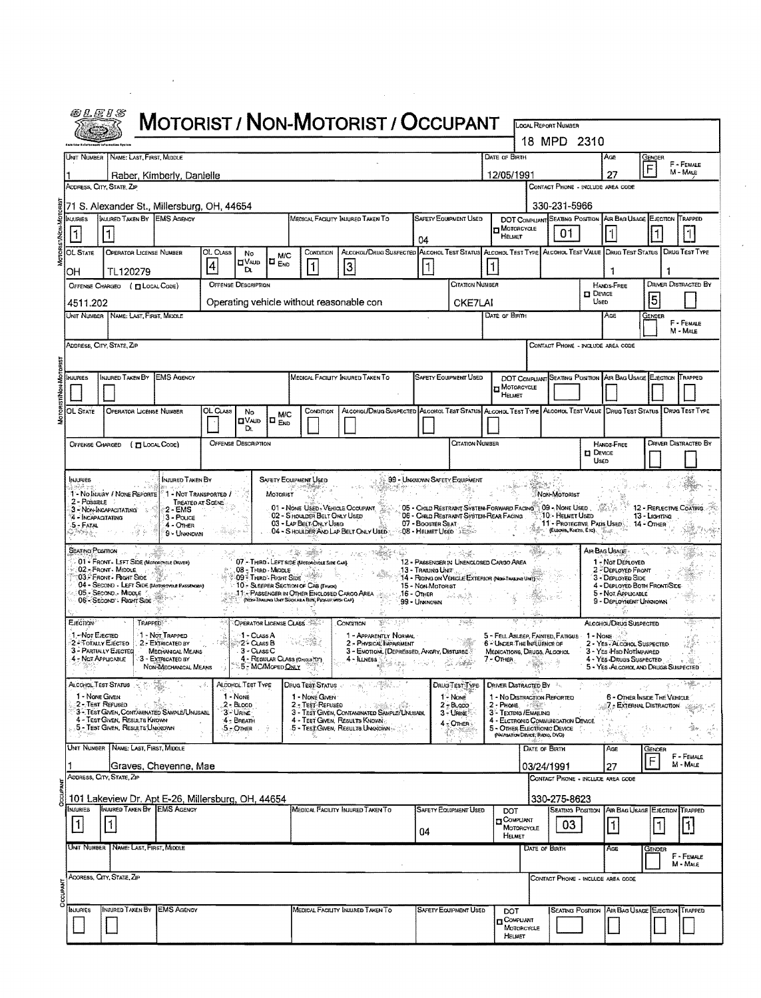|                                                                                                    |                                                                                                                                               |                                                                                                                                 |                  |                                                                                                  |                                 |                                                                                                                                           | <b>MOTORIST / NON-MOTORIST / OCCUPANT</b>                                                                                                                                    |                                                                                                                                                                         |                                                                                            |                                                                                                                                                                                                               |                      | LOCAL REPORT NUMBER                                                     |                         |                                                                                                                                             |                                          |                             |  |
|----------------------------------------------------------------------------------------------------|-----------------------------------------------------------------------------------------------------------------------------------------------|---------------------------------------------------------------------------------------------------------------------------------|------------------|--------------------------------------------------------------------------------------------------|---------------------------------|-------------------------------------------------------------------------------------------------------------------------------------------|------------------------------------------------------------------------------------------------------------------------------------------------------------------------------|-------------------------------------------------------------------------------------------------------------------------------------------------------------------------|--------------------------------------------------------------------------------------------|---------------------------------------------------------------------------------------------------------------------------------------------------------------------------------------------------------------|----------------------|-------------------------------------------------------------------------|-------------------------|---------------------------------------------------------------------------------------------------------------------------------------------|------------------------------------------|-----------------------------|--|
|                                                                                                    |                                                                                                                                               |                                                                                                                                 |                  |                                                                                                  |                                 |                                                                                                                                           |                                                                                                                                                                              |                                                                                                                                                                         |                                                                                            |                                                                                                                                                                                                               |                      | 18 MPD 2310                                                             |                         |                                                                                                                                             |                                          |                             |  |
|                                                                                                    | Unit Number   Name: Last First, Middle                                                                                                        |                                                                                                                                 |                  |                                                                                                  |                                 |                                                                                                                                           |                                                                                                                                                                              |                                                                                                                                                                         |                                                                                            | DATE OF BIRTH                                                                                                                                                                                                 |                      |                                                                         |                         | Age                                                                                                                                         | GENDER                                   | F - FEMALE                  |  |
|                                                                                                    |                                                                                                                                               | Raber, Kimberly, Danielle                                                                                                       |                  |                                                                                                  |                                 |                                                                                                                                           |                                                                                                                                                                              |                                                                                                                                                                         |                                                                                            | 12/05/1991                                                                                                                                                                                                    |                      |                                                                         |                         | 27                                                                                                                                          | F                                        | M - MALE                    |  |
|                                                                                                    | ADDRESS, CITY, STATE, ZIP                                                                                                                     |                                                                                                                                 |                  |                                                                                                  |                                 |                                                                                                                                           |                                                                                                                                                                              |                                                                                                                                                                         |                                                                                            |                                                                                                                                                                                                               |                      |                                                                         |                         | CONTACT PHONE - INCLUDE AREA CODE                                                                                                           |                                          |                             |  |
| <b>NJURIES</b>                                                                                     | INJURED TAKEN BY EMS AGENCY                                                                                                                   | 71 S. Alexander St., Millersburg, OH, 44654                                                                                     |                  |                                                                                                  |                                 |                                                                                                                                           | MEDICAL FACIUTY INJURED TAKEN TO                                                                                                                                             |                                                                                                                                                                         | <b>SAFETY EQUIPMENT USED</b>                                                               |                                                                                                                                                                                                               |                      | 330-231-5966                                                            |                         | DOT COMPLIANT SEATING POSITION AIR BAG USAGE EJECTION TRAPPED                                                                               |                                          |                             |  |
| 11                                                                                                 |                                                                                                                                               |                                                                                                                                 |                  |                                                                                                  |                                 |                                                                                                                                           |                                                                                                                                                                              |                                                                                                                                                                         |                                                                                            | <b>D</b> Moroncycle                                                                                                                                                                                           |                      | 01                                                                      |                         | 1                                                                                                                                           |                                          | l 1                         |  |
|                                                                                                    |                                                                                                                                               |                                                                                                                                 | OL CLASS         |                                                                                                  |                                 | CONDITION                                                                                                                                 | ALCOHOL/DRUG SUSPECTED ALCOHOL TEST STATUS ALCOHOL TEST TYPE ALCOHOL TEST VALUE DRUG TEST STATUS DRUG TEST TYPE                                                              | 04                                                                                                                                                                      |                                                                                            | HELMET                                                                                                                                                                                                        |                      |                                                                         |                         |                                                                                                                                             |                                          |                             |  |
| OL STATE                                                                                           | <b>OPERATOR LICENSE NUMBER</b>                                                                                                                |                                                                                                                                 | 4                | No<br>⊡Vaup                                                                                      | <b>M/C</b><br>IO <sub>END</sub> |                                                                                                                                           | 3                                                                                                                                                                            | 1                                                                                                                                                                       |                                                                                            | 1                                                                                                                                                                                                             |                      |                                                                         |                         |                                                                                                                                             |                                          |                             |  |
| OН                                                                                                 | TL120279<br>OFFENSE CHARGEO ( ELOCAL CODE)                                                                                                    |                                                                                                                                 |                  | D.<br><b>OFFENSE DESCRIPTION</b>                                                                 |                                 |                                                                                                                                           |                                                                                                                                                                              |                                                                                                                                                                         | CITATION NUMBER                                                                            |                                                                                                                                                                                                               |                      |                                                                         |                         | HANDS-FREE                                                                                                                                  |                                          | <b>DRIVER DISTRACTED BY</b> |  |
|                                                                                                    |                                                                                                                                               |                                                                                                                                 |                  |                                                                                                  |                                 |                                                                                                                                           | Operating vehicle without reasonable con                                                                                                                                     |                                                                                                                                                                         |                                                                                            |                                                                                                                                                                                                               |                      |                                                                         | <b>D</b> DEVICE<br>Useo |                                                                                                                                             | 15                                       |                             |  |
| 4511.202                                                                                           | Unit Number   Name: Last, First, Middle                                                                                                       |                                                                                                                                 |                  |                                                                                                  |                                 |                                                                                                                                           |                                                                                                                                                                              |                                                                                                                                                                         | CKE7LAI                                                                                    | Date of Birth                                                                                                                                                                                                 |                      |                                                                         |                         | AGE                                                                                                                                         | GENDER                                   |                             |  |
|                                                                                                    |                                                                                                                                               |                                                                                                                                 |                  |                                                                                                  |                                 |                                                                                                                                           |                                                                                                                                                                              |                                                                                                                                                                         |                                                                                            |                                                                                                                                                                                                               |                      |                                                                         |                         |                                                                                                                                             |                                          | F - FEMALE<br>M - Male      |  |
|                                                                                                    | Address, City, State, Zip                                                                                                                     |                                                                                                                                 |                  |                                                                                                  |                                 |                                                                                                                                           |                                                                                                                                                                              |                                                                                                                                                                         |                                                                                            |                                                                                                                                                                                                               |                      |                                                                         |                         | CONTACT PHONE - INCLUDE AREA CODE                                                                                                           |                                          |                             |  |
|                                                                                                    |                                                                                                                                               |                                                                                                                                 |                  |                                                                                                  |                                 |                                                                                                                                           |                                                                                                                                                                              |                                                                                                                                                                         |                                                                                            |                                                                                                                                                                                                               |                      |                                                                         |                         |                                                                                                                                             |                                          |                             |  |
| injuries                                                                                           | INJURED TAKEN BY EMS AGENCY                                                                                                                   |                                                                                                                                 |                  |                                                                                                  |                                 |                                                                                                                                           | MEDICAL FACILITY INJURED TAKEN TO                                                                                                                                            |                                                                                                                                                                         | SAFETY EQUIPMENT USED                                                                      |                                                                                                                                                                                                               |                      |                                                                         |                         | DOT COMPLIANT SEATING POSITION AIR BAG USAGE EJECTION TRAPPED                                                                               |                                          |                             |  |
|                                                                                                    |                                                                                                                                               |                                                                                                                                 |                  |                                                                                                  |                                 |                                                                                                                                           |                                                                                                                                                                              |                                                                                                                                                                         |                                                                                            | MOTORCYCLE<br>HELMET                                                                                                                                                                                          |                      |                                                                         |                         |                                                                                                                                             |                                          |                             |  |
| <b>OL STATE</b>                                                                                    | OPERATOR LICENSE NUMBER                                                                                                                       |                                                                                                                                 | OL CLASS         | No                                                                                               | M/C                             | CONDITION                                                                                                                                 | Alcohol/Drug Suspected Alcohol Test Status Alcohol Test Type Alcohol Test Value Drug Test Status   Drug Test Type                                                            |                                                                                                                                                                         |                                                                                            |                                                                                                                                                                                                               |                      |                                                                         |                         |                                                                                                                                             |                                          |                             |  |
|                                                                                                    |                                                                                                                                               |                                                                                                                                 |                  | ⊔∨∧цо<br>D.                                                                                      | $\Box$                          |                                                                                                                                           |                                                                                                                                                                              |                                                                                                                                                                         |                                                                                            |                                                                                                                                                                                                               |                      |                                                                         |                         |                                                                                                                                             |                                          |                             |  |
|                                                                                                    | OFFENSE CHARGED ( T LOCAL CODE)                                                                                                               |                                                                                                                                 |                  | <b>OFFENSE DESCRIPTION</b>                                                                       |                                 |                                                                                                                                           |                                                                                                                                                                              |                                                                                                                                                                         | Citation Number                                                                            |                                                                                                                                                                                                               |                      |                                                                         | <b>DEVICE</b>           | HANDS-FREE                                                                                                                                  |                                          | DRIVER DISTRACTED BY        |  |
|                                                                                                    |                                                                                                                                               |                                                                                                                                 |                  |                                                                                                  |                                 |                                                                                                                                           |                                                                                                                                                                              |                                                                                                                                                                         |                                                                                            |                                                                                                                                                                                                               |                      |                                                                         | Usen                    |                                                                                                                                             |                                          |                             |  |
| 71.                                                                                                | 3 - NON-INCAPACITATING<br>行うそ                                                                                                                 | Injured Taken By<br>1 - No Injury / None Reporte   1 - Not Transported /<br>2 - EMS<br>3 - Pouce<br>$4 -$ OTHER<br>9 - Unignomn | TREATED AT SCENE |                                                                                                  | Мотоянт                         | <b>SAFETY EQUIPMENT USED</b><br>02 - S HOULDER BELT ONLY USED<br>03 - LAP BELT ONLY USED<br>t të sallat                                   | 01 - NONE USED, VEHICLE OCCUPANT<br>04 - S HOULDER AND LAP BELT ONLY USED 08 - HELMET USED                                                                                   | 99 - UNKNOWN SAFETY EQUIPMENT<br>05 - CHILD RESTRAINT SYSTEM-FORWARD FACING 09 - NONE USED 3<br>06 - CHILD RESTRAINT SYSTEM-REAR FACING<br>07 - Booster Seat            |                                                                                            |                                                                                                                                                                                                               |                      | Non-Motorist<br>10 - Helmet Used<br>$\blacksquare$ (ELBOWS, KNEES, ETC) |                         | 11 - PROTECTIVE PADS USED 14 - OTHER<br>Air Bag Usage                                                                                       | 12 - REFLECTIVE COATING<br>13 - Lighting |                             |  |
|                                                                                                    | 01 . FRONT - LEFT SIDE (MOTORCYCLE DRIVER)<br>02 - FRONT MIDDLE<br>03 FFRONT - FOGHT SIDE<br>05 - Second - Middle<br>06 - SECOND : RIGHT SIDE | 04 - SECOND - LEFT SIDE (MOTOROVOLE PASSENGER)                                                                                  |                  | 08 - Third - Middle<br>09 THIRD - RIGHT SIDE                                                     |                                 | 07 - THIRD - LEFT SIDE (MOTOROYOLE SIDE CAR)<br>10 - SLEEPER SECTION OF CAB (TRUCK)<br>(NON-TRAILING UNIT SUCH ABA BUS, PICK-UP WITH CAP) | 11 - PASSENGER IN OTHER ENCLOSED CARGO AREA                                                                                                                                  | 12 - PASSENGER IN UNENCLOSED CARGO AREA<br>. 13 - Trabing Unit<br>14 - RIDING ON VEHICLE EXTERIOR (NON-TRASPER UNT)<br>15 - Non-Motonist<br>.16 - Отнев<br>99 - Uranown |                                                                                            |                                                                                                                                                                                                               |                      |                                                                         |                         | 1 - Not Deployed<br>2 - DEPLOYED FRONT<br>3 - DEPLOYED SIDE<br>4 - DEPLOYED BOTH FRONTISIDE<br>5 - NOT APPLICABLE<br>9 - DEPLOYMENT UNKNOWN |                                          |                             |  |
| INJURIES<br>2 - Possiele<br>4 - INCAPACITATING<br>5 - Fatal<br>SEATING POSITION<br><b>EJECTION</b> |                                                                                                                                               | TRAPPED <sup>3</sup>                                                                                                            |                  | OPERATOR LICENSE CLASS                                                                           |                                 |                                                                                                                                           | CONDITION<br>W.                                                                                                                                                              |                                                                                                                                                                         |                                                                                            |                                                                                                                                                                                                               |                      |                                                                         |                         | ALCOHOL/DRUG SUSPECTED                                                                                                                      |                                          |                             |  |
| 1 - Nor Ejected                                                                                    | 2 - TOTALLY EJECTEO<br>3 - PARTIALLY EJECTED<br>4 - Not Appucable                                                                             | 1 - Not Trapped<br>2. EXTRICATED BY<br>MECHANICAL MEANS<br>3 - Extricated by<br><b>NON-MECHANICAL MEANS</b>                     |                  | 1 - Cuss A<br>°2 ÷ Cuass B<br>3 - CLASS C<br>4 - REGULAR CLASS (OHIOLS (D')<br>5 - MC/MoPED ONLY |                                 |                                                                                                                                           | 1 - Apparently Normal<br>2 - PHYSICAL IMPARMENT<br>3 - EMOTION, (DEPRESSED, ANGRY, DISTURBE<br>$4 -$ ILINESS $\sum_{i \in \mathcal{I}} i_{\mathcal{B}(i)} = 1 - \omega^{-1}$ |                                                                                                                                                                         |                                                                                            | 5 - FELL ASLEEP, FAINTED, FATIGUE 1 - NONE<br>6 - UNDER THE INFLUENCE OF<br>MEDICATIONS, DRUGS, ALCOHOL<br>7 - OTHER                                                                                          |                      |                                                                         |                         | 2 - YES - ALCOHOL SUSPECTED<br>3 - YEs HISD NOTIMPARED<br>4 - YES-DRUGS SUSPECTED<br>5 - YES ALCOHOLAND DRUGS SUSPECTED                     |                                          |                             |  |
| 1 - None Given                                                                                     | ALCOHOL TEST STATUS<br>2 - Test Rerusen<br>4 - Test Given, Results Known<br>5 - Test Given, Results Unknown                                   | 3 - TEST GIVEN, CONTAMINATED SAMPLE/UNUSABL                                                                                     |                  | ALCOHOL TEST TYPE<br>1 - None<br>$2 - B$ LOOD<br>3-URINE<br>4 - BREATH<br>5 - OTHER              |                                 | DRUG TEST STATUS AND THE<br>1 - NONE GIVEN<br>2 - Test-Rerusen                                                                            | - リューンの意見に最新。<br>3 - TEST GIVEN, CONTAMINATED SAMPLE/UNUSABL<br>4 - TEST GIVEN, RESULTS KNOWN.<br>5 - Test Given, Results Unknown                                            |                                                                                                                                                                         | DRUG TEST TYPE<br>1 - None<br>$2 - B$ app<br>$3 -$ URINE<br>$4 \times$ OTHER $\frac{1}{2}$ | <b>DRIVER DISTRACTED BY</b><br>1 - No DISTRACTION REPORTED<br>2- PHONE 1998<br>3 - TEXTING / EMAILING<br>4 - ELETRONIC COMMUNICATION DEVICE<br>5 - OTHER ELECTRONIC DEVICE<br>(NAMIGATION DEVICE, RADIO, DVD) |                      |                                                                         |                         | 6 - OTHER INSIDE THE VEHICLE<br><b>7 - EXTERNAL DISTRACTION</b>                                                                             |                                          |                             |  |
|                                                                                                    | UNIT NUMBER   NAME: LAST, FIRST, MIDDLE                                                                                                       |                                                                                                                                 |                  |                                                                                                  |                                 |                                                                                                                                           |                                                                                                                                                                              |                                                                                                                                                                         |                                                                                            |                                                                                                                                                                                                               | DATE OF BIRTH        |                                                                         |                         | Age                                                                                                                                         | Gender                                   | F - FEMALE                  |  |
|                                                                                                    |                                                                                                                                               | Graves, Chevenne, Mae                                                                                                           |                  |                                                                                                  |                                 |                                                                                                                                           |                                                                                                                                                                              |                                                                                                                                                                         |                                                                                            |                                                                                                                                                                                                               | 03/24/1991           |                                                                         |                         | 27                                                                                                                                          | F                                        | M - MALE                    |  |
|                                                                                                    | ADDRESS, CITY, STATE, ZIP                                                                                                                     |                                                                                                                                 |                  |                                                                                                  |                                 |                                                                                                                                           |                                                                                                                                                                              |                                                                                                                                                                         |                                                                                            |                                                                                                                                                                                                               |                      |                                                                         |                         | CONTACT PHONE - INCLUDE AREA CODE                                                                                                           |                                          |                             |  |
|                                                                                                    |                                                                                                                                               | 101 Lakeview Dr. Apt E-26, Millersburg, OH, 44654                                                                               |                  |                                                                                                  |                                 |                                                                                                                                           |                                                                                                                                                                              |                                                                                                                                                                         |                                                                                            |                                                                                                                                                                                                               |                      | 330-275-8623                                                            |                         |                                                                                                                                             |                                          |                             |  |
|                                                                                                    |                                                                                                                                               | INJURED TAKEN BY <b>IEMS</b> AGENCY                                                                                             |                  |                                                                                                  |                                 |                                                                                                                                           | MEDICAL FACILITY INJURED TAKEN TO                                                                                                                                            |                                                                                                                                                                         | <b>SAFETY EQUIPMENT USED</b>                                                               | DOT<br><sup>COMPUANT</sup>                                                                                                                                                                                    |                      | Seating Position                                                        |                         | AIR BAG USAGE                                                                                                                               |                                          | EJECTION TRAPPED            |  |
| $\mathbf{1}$                                                                                       | $\vert$                                                                                                                                       |                                                                                                                                 |                  |                                                                                                  |                                 |                                                                                                                                           |                                                                                                                                                                              | 04                                                                                                                                                                      |                                                                                            | <b>MOTORGYCLE</b><br><b>HELMET</b>                                                                                                                                                                            |                      | 03                                                                      |                         | 1                                                                                                                                           | 1                                        | $\lceil 1 \rceil$           |  |
|                                                                                                    | UNIT NUMBER NAME: LAST, FIRST, MIDDLE                                                                                                         |                                                                                                                                 |                  |                                                                                                  |                                 |                                                                                                                                           |                                                                                                                                                                              |                                                                                                                                                                         |                                                                                            |                                                                                                                                                                                                               | <b>DATE OF BIRTH</b> |                                                                         |                         | Age                                                                                                                                         | Gender                                   |                             |  |
|                                                                                                    |                                                                                                                                               |                                                                                                                                 |                  |                                                                                                  |                                 |                                                                                                                                           |                                                                                                                                                                              |                                                                                                                                                                         |                                                                                            |                                                                                                                                                                                                               |                      |                                                                         |                         |                                                                                                                                             |                                          | F - FEMALE<br>M - Male      |  |
|                                                                                                    | ADORESS, CITY, STATE, ZIP                                                                                                                     |                                                                                                                                 |                  |                                                                                                  |                                 |                                                                                                                                           |                                                                                                                                                                              |                                                                                                                                                                         |                                                                                            |                                                                                                                                                                                                               |                      |                                                                         |                         | CONTACT PHONE - INCLUDE AREA CODE                                                                                                           |                                          |                             |  |
| NJURIES                                                                                            |                                                                                                                                               |                                                                                                                                 |                  |                                                                                                  |                                 |                                                                                                                                           |                                                                                                                                                                              |                                                                                                                                                                         |                                                                                            |                                                                                                                                                                                                               |                      |                                                                         |                         |                                                                                                                                             |                                          |                             |  |
| NJURIES                                                                                            | Injured Taken By                                                                                                                              | <b>EMS AGENCY</b>                                                                                                               |                  |                                                                                                  |                                 |                                                                                                                                           | MEDICAL FACILITY INJURED TAKEN TO                                                                                                                                            |                                                                                                                                                                         | <b>SAFETY EQUIPMENT USED</b>                                                               | DOT<br>n Compuant                                                                                                                                                                                             |                      | <b>SEATING POSITION</b>                                                 |                         | AIR BAG USAGE EJECTION TRAPPED                                                                                                              |                                          |                             |  |

 $\label{eq:2.1} \frac{1}{2}\sum_{i=1}^n\frac{1}{2}\sum_{j=1}^n\frac{1}{2}\sum_{j=1}^n\frac{1}{2}\sum_{j=1}^n\frac{1}{2}\sum_{j=1}^n\frac{1}{2}\sum_{j=1}^n\frac{1}{2}\sum_{j=1}^n\frac{1}{2}\sum_{j=1}^n\frac{1}{2}\sum_{j=1}^n\frac{1}{2}\sum_{j=1}^n\frac{1}{2}\sum_{j=1}^n\frac{1}{2}\sum_{j=1}^n\frac{1}{2}\sum_{j=1}^n\frac{1}{2}\sum_{j=1}^n\$